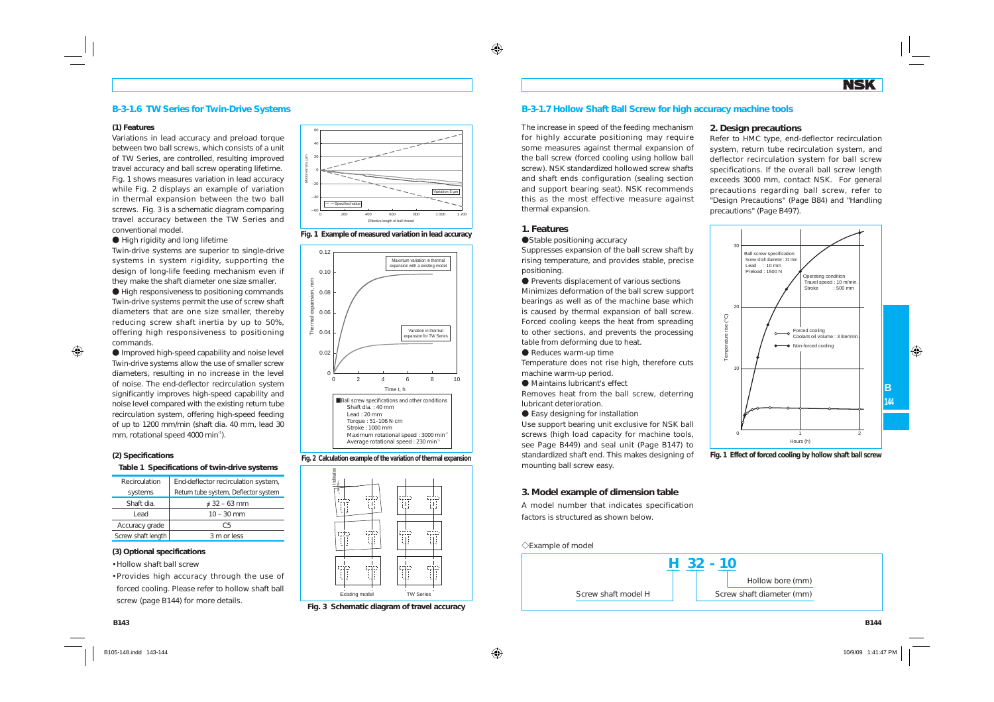## **B-3-1.6 TW Series for Twin-Drive Systems**

#### **(1) Features**

Variations in lead accuracy and preload torque between two ball screws, which consists of a unit of TW Series, are controlled, resulting improved travel accuracy and ball screw operating lifetime. Fig. 1 shows measures variation in lead accuracy while Fig. 2 displays an example of variation in thermal expansion between the two ball screws. Fig. 3 is a schematic diagram comparing travel accuracy between the TW Series and conventional model.

### A High rigidity and long lifetime

Twin-drive systems are superior to single-drive systems in system rigidity, supporting the design of long-life feeding mechanism even if they make the shaft diameter one size smaller.

A High responsiveness to positioning commands Twin-drive systems permit the use of screw shaft diameters that are one size smaller, thereby reducing screw shaft inertia by up to 50%, offering high responsiveness to positioning commands.

A Improved high-speed capability and noise level Twin-drive systems allow the use of smaller screw diameters, resulting in no increase in the level of noise. The end-deflector recirculation system significantly improves high-speed capability and noise level compared with the existing return tube recirculation system, offering high-speed feeding of up to 1200 mm/min (shaft dia. 40 mm, lead 30 mm, rotational speed 4000 min<sup>-1</sup>).

### **(2) Specifications**

#### **Table 1 Specifications of twin-drive systems**

| Recirculation      | End-deflector recirculation system,  |
|--------------------|--------------------------------------|
| systems            | Return tube system, Deflector system |
| Shaft dia.         | $\phi$ 32 – 63 mm                    |
| Lead               | $10 - 30$ mm                         |
| Accuracy grade     | C.5                                  |
| Screw shaft length | 3 m or less                          |

### **(3) Optional specifications**

- Hollow shaft ball screw
- Provides high accuracy through the use of forced cooling. Please refer to hollow shaft ball screw (page B144) for more details.



**Fig. 1 Example of measured variation in lead accuracy**



**Fig. 2 Calculation example of the variation of thermal expansion**



**Fig. 3 Schematic diagram of travel accuracy**

## **B-3-1.7 Hollow Shaft Ball Screw for high accuracy machine tools**

**2. Design precautions**

precautions" (Page B497).

30

 $20$ 

10

Temperature rise (°C)

 $\widetilde{C}$ -80 Ball screw specification Screw shaft diameter : 32 mm Lead : 10 mmPreload : 1500 N

Refer to HMC type, end-deflector recirculation system, return tube recirculation system, and deflector recirculation system for ball screw specifications. If the overall ball screw length exceeds 3000 mm, contact NSK. For general precautions regarding ball screw, refer to "Design Precautions" (Page B84) and "Handling

> Operating condition Travel speed : 10 m/min.  $\cdot$  500 mm

Forced cooling Coolant oil volume : 3 liter/min.Non-forced cooling

The increase in speed of the feeding mechanism for highly accurate positioning may require some measures against thermal expansion of the ball screw (forced cooling using hollow ball screw). NSK standardized hollowed screw shafts and shaft ends configuration (sealing section and support bearing seat). NSK recommends this as the most effective measure against thermal expansion.

### **1. Features**

#### ● Stable positioning accuracy

Suppresses expansion of the ball screw shaft by rising temperature, and provides stable, precise positioning.

**•** Prevents displacement of various sections Minimizes deformation of the ball screw support bearings as well as of the machine base which is caused by thermal expansion of ball screw. Forced cooling keeps the heat from spreading to other sections, and prevents the processing table from deforming due to heat.

● Reduces warm-up time

Temperature does not rise high, therefore cuts machine warm-up period.

A Maintains lubricant's effect

Removes heat from the ball screw, deterring lubricant deterioration.

**• Easy designing for installation** 

Use support bearing unit exclusive for NSK ball screws (high load capacity for machine tools, see Page B449) and seal unit (Page B147) to standardized shaft end. This makes designing of mounting ball screw easy.



Hours (h)

 $\overline{0}$  1 3

### **3. Model example of dimension table**

A model number that indicates specification factors is structured as shown below.

# $\Diamond$ Example of model



**B144**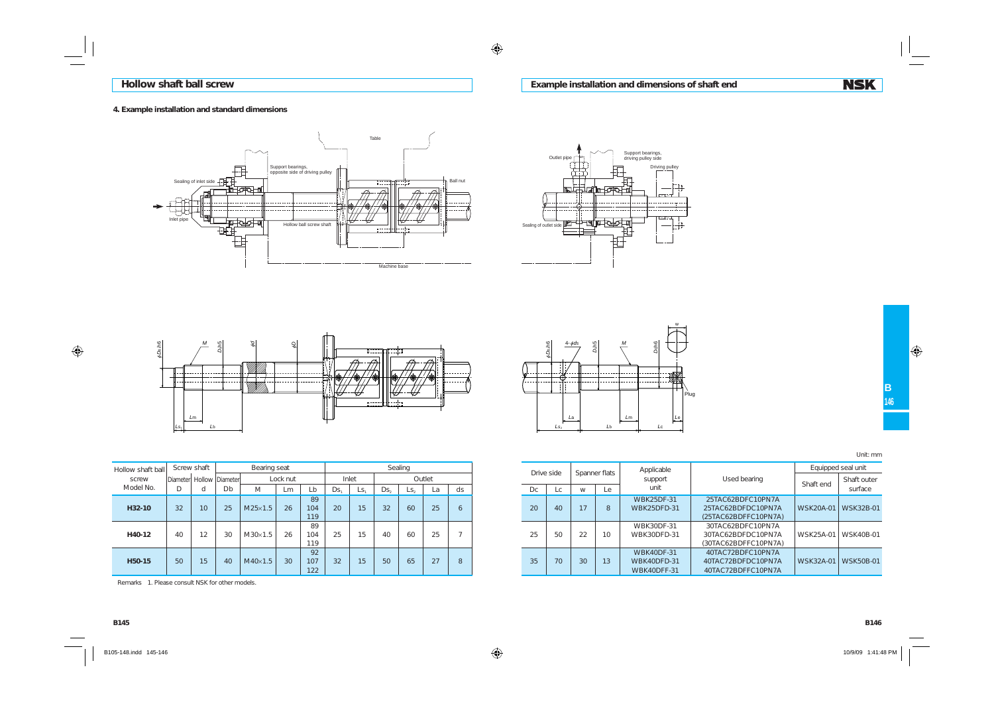## **4. Example installation and standard dimensions**







| Hollow shaft ball | Screw shaft |    | Bearing seat    |                |          |                  | Sealing |                 |     |                   |        |               |  | Drive side | Spanner flats |    |    |
|-------------------|-------------|----|-----------------|----------------|----------|------------------|---------|-----------------|-----|-------------------|--------|---------------|--|------------|---------------|----|----|
| screw             | Diameter    |    | Hollow Diameter |                | Lock nut |                  |         | Inlet           |     |                   | Outlet |               |  |            |               |    |    |
| Model No.         | D           | d  | Db              | $\mathcal M$   | Lm       | Lb               | Ds.     | Ls.             | Ds, | $\mathsf{L}S_{2}$ | La     | ds            |  | Dc         | Lc            | W  | Le |
| H32-10            | 32          | 10 | 25              | $M25\times1.5$ | 26       | 89<br>104<br>119 | 20      | 15              | 32  | 60                | 25     | 6             |  | 20         | 40            | 17 | 8  |
| H40-12            | 40          | 12 | 30              | $M30\times1.5$ | 26       | 89<br>104<br>119 | 25      | 15              | 40  | 60                | 25     | $\rightarrow$ |  | 25         | 50            | 22 | 10 |
| H50-15            | 50          | 15 | 40              | $M40\times1.5$ | 30       | 92<br>107<br>122 | 32      | 15 <sup>°</sup> | 50  | 65                | 27     | 8             |  | 35         | 70            | 30 | 13 |

Remarks 1. Please consult NSK for other models.

wch6 *D*<sup>b</sup>h54-j*ds <sup>M</sup>* j*D s* 2h6 . . . . .  $\sim$ Plug *L*a *L*m *L*e *Ls*2 *L*b *L*c

| Drive side |    |      | Spanner flats |             | Applicable         |                      | Equipped seal unit |                  |  |  |  |  |  |  |  |  |  |  |    |                    |                    |           |           |
|------------|----|------|---------------|-------------|--------------------|----------------------|--------------------|------------------|--|--|--|--|--|--|--|--|--|--|----|--------------------|--------------------|-----------|-----------|
|            |    |      |               | support     | Used bearing       | Shaft end            | Shaft outer        |                  |  |  |  |  |  |  |  |  |  |  |    |                    |                    |           |           |
|            | Dc | l c. | W             | l e         | unit               |                      |                    | surface          |  |  |  |  |  |  |  |  |  |  |    |                    |                    |           |           |
|            |    |      |               |             | <b>WBK25DF-31</b>  | 25TAC62BDFC10PN7A    |                    |                  |  |  |  |  |  |  |  |  |  |  |    |                    |                    |           |           |
|            | 20 | 40   | 17            | 8           | <b>WBK25DFD-31</b> | 25TAC62BDFDC10PN7A   | WSK20A-01          | <b>WSK32B-01</b> |  |  |  |  |  |  |  |  |  |  |    |                    |                    |           |           |
|            |    |      |               |             |                    | (25TAC62BDFFC10PN7A) |                    |                  |  |  |  |  |  |  |  |  |  |  |    |                    |                    |           |           |
|            |    |      |               |             | WBK30DF-31         | 30TAC62BDFC10PN7A    |                    |                  |  |  |  |  |  |  |  |  |  |  |    |                    |                    |           |           |
| 25         | 50 | 22   |               |             |                    |                      |                    |                  |  |  |  |  |  |  |  |  |  |  | 10 | <b>WBK30DFD-31</b> | 30TAC62BDFDC10PN7A | WSK25A-01 | WSK40B-01 |
|            |    |      |               |             |                    | (30TAC62BDFFC10PN7A) |                    |                  |  |  |  |  |  |  |  |  |  |  |    |                    |                    |           |           |
|            |    |      |               |             | <b>WBK40DF-31</b>  | 40TAC72BDFC10PN7A    |                    |                  |  |  |  |  |  |  |  |  |  |  |    |                    |                    |           |           |
| 35         | 70 | 30   | 13            | WBK40DFD-31 | 40TAC72BDFDC10PN7A | WSK32A-01            | <b>WSK50B-01</b>   |                  |  |  |  |  |  |  |  |  |  |  |    |                    |                    |           |           |
|            |    |      |               |             | WBK40DFF-31        | 40TAC72BDFFC10PN7A   |                    |                  |  |  |  |  |  |  |  |  |  |  |    |                    |                    |           |           |

**Example installation and dimensions of shaft end**

Unit: mm